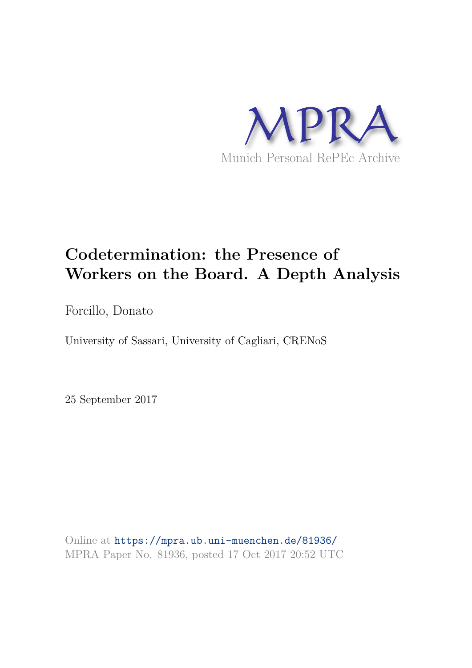

# **Codetermination: the Presence of Workers on the Board. A Depth Analysis**

Forcillo, Donato

University of Sassari, University of Cagliari, CRENoS

25 September 2017

Online at https://mpra.ub.uni-muenchen.de/81936/ MPRA Paper No. 81936, posted 17 Oct 2017 20:52 UTC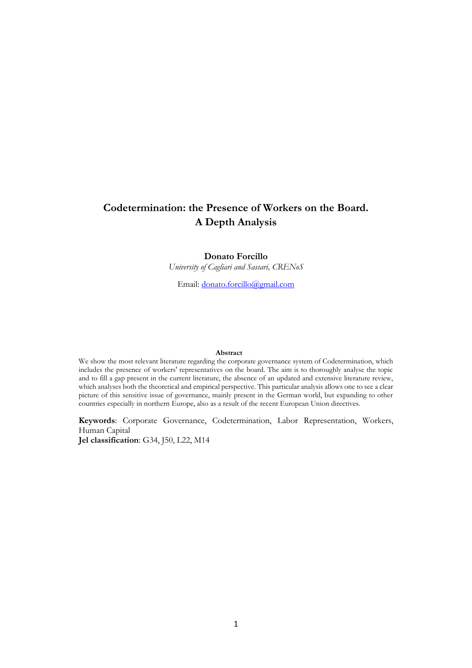# **Codetermination: the Presence of Workers on the Board. A Depth Analysis**

# **Donato Forcillo**

*University of Cagliari and Sassari, CRENoS* 

Email: [donato.forcillo@gmail.com](mailto:donato.forcillo@gmail.com)

#### **Abstract**

We show the most relevant literature regarding the corporate governance system of Codetermination, which includes the presence of workers' representatives on the board. The aim is to thoroughly analyse the topic and to fill a gap present in the current literature, the absence of an updated and extensive literature review, which analyses both the theoretical and empirical perspective. This particular analysis allows one to see a clear picture of this sensitive issue of governance, mainly present in the German world, but expanding to other countries especially in northern Europe, also as a result of the recent European Union directives.

**Keywords**: Corporate Governance, Codetermination, Labor Representation, Workers, Human Capital **Jel classification**: G34, J50, L22, M14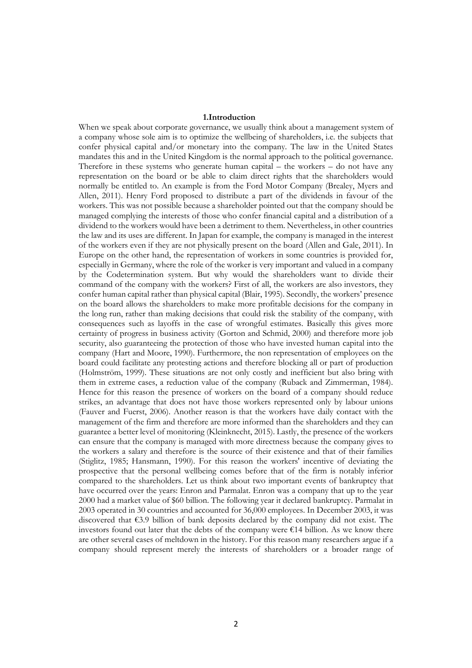#### **1.Introduction**

When we speak about corporate governance, we usually think about a management system of a company whose sole aim is to optimize the wellbeing of shareholders, i.e. the subjects that confer physical capital and/or monetary into the company. The law in the United States mandates this and in the United Kingdom is the normal approach to the political governance. Therefore in these systems who generate human capital – the workers – do not have any representation on the board or be able to claim direct rights that the shareholders would normally be entitled to. An example is from the Ford Motor Company (Brealey, Myers and Allen, 2011). Henry Ford proposed to distribute a part of the dividends in favour of the workers. This was not possible because a shareholder pointed out that the company should be managed complying the interests of those who confer financial capital and a distribution of a dividend to the workers would have been a detriment to them. Nevertheless, in other countries the law and its uses are different. In Japan for example, the company is managed in the interest of the workers even if they are not physically present on the board (Allen and Gale, 2011). In Europe on the other hand, the representation of workers in some countries is provided for, especially in Germany, where the role of the worker is very important and valued in a company by the Codetermination system. But why would the shareholders want to divide their command of the company with the workers? First of all, the workers are also investors, they confer human capital rather than physical capital (Blair, 1995). Secondly, the workers' presence on the board allows the shareholders to make more profitable decisions for the company in the long run, rather than making decisions that could risk the stability of the company, with consequences such as layoffs in the case of wrongful estimates. Basically this gives more certainty of progress in business activity (Gorton and Schmid, 2000) and therefore more job security, also guaranteeing the protection of those who have invested human capital into the company (Hart and Moore, 1990). Furthermore, the non representation of employees on the board could facilitate any protesting actions and therefore blocking all or part of production (Holmström, 1999). These situations are not only costly and inefficient but also bring with them in extreme cases, a reduction value of the company (Ruback and Zimmerman, 1984). Hence for this reason the presence of workers on the board of a company should reduce strikes, an advantage that does not have those workers represented only by labour unions (Fauver and Fuerst, 2006). Another reason is that the workers have daily contact with the management of the firm and therefore are more informed than the shareholders and they can guarantee a better level of monitoring (Kleinknecht, 2015). Lastly, the presence of the workers can ensure that the company is managed with more directness because the company gives to the workers a salary and therefore is the source of their existence and that of their families (Stiglitz, 1985; Hansmann, 1990). For this reason the workers' incentive of deviating the prospective that the personal wellbeing comes before that of the firm is notably inferior compared to the shareholders. Let us think about two important events of bankruptcy that have occurred over the years: Enron and Parmalat. Enron was a company that up to the year 2000 had a market value of \$60 billion. The following year it declared bankruptcy. Parmalat in 2003 operated in 30 countries and accounted for 36,000 employees. In December 2003, it was discovered that €3.9 billion of bank deposits declared by the company did not exist. The investors found out later that the debts of the company were  $E14$  billion. As we know there are other several cases of meltdown in the history. For this reason many researchers argue if a company should represent merely the interests of shareholders or a broader range of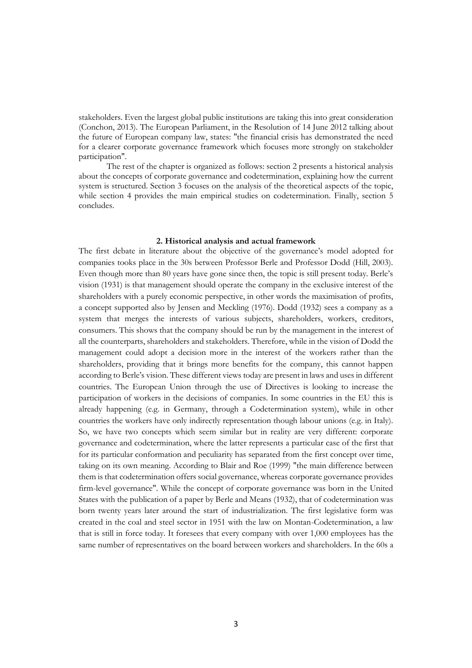stakeholders. Even the largest global public institutions are taking this into great consideration (Conchon, 2013). The European Parliament, in the Resolution of 14 June 2012 talking about the future of European company law, states: "the financial crisis has demonstrated the need for a clearer corporate governance framework which focuses more strongly on stakeholder participation".

 The rest of the chapter is organized as follows: section 2 presents a historical analysis about the concepts of corporate governance and codetermination, explaining how the current system is structured. Section 3 focuses on the analysis of the theoretical aspects of the topic, while section 4 provides the main empirical studies on codetermination. Finally, section 5 concludes.

#### **2. Historical analysis and actual framework**

The first debate in literature about the objective of the governance's model adopted for companies tooks place in the 30s between Professor Berle and Professor Dodd (Hill, 2003). Even though more than 80 years have gone since then, the topic is still present today. Berle's vision (1931) is that management should operate the company in the exclusive interest of the shareholders with a purely economic perspective, in other words the maximisation of profits, a concept supported also by Jensen and Meckling (1976). Dodd (1932) sees a company as a system that merges the interests of various subjects, shareholders, workers, creditors, consumers. This shows that the company should be run by the management in the interest of all the counterparts, shareholders and stakeholders. Therefore, while in the vision of Dodd the management could adopt a decision more in the interest of the workers rather than the shareholders, providing that it brings more benefits for the company, this cannot happen according to Berle's vision. These different views today are present in laws and uses in different countries. The European Union through the use of Directives is looking to increase the participation of workers in the decisions of companies. In some countries in the EU this is already happening (e.g. in Germany, through a Codetermination system), while in other countries the workers have only indirectly representation though labour unions (e.g. in Italy). So, we have two concepts which seem similar but in reality are very different: corporate governance and codetermination, where the latter represents a particular case of the first that for its particular conformation and peculiarity has separated from the first concept over time, taking on its own meaning. According to Blair and Roe (1999) "the main difference between them is that codetermination offers social governance, whereas corporate governance provides firm-level governance". While the concept of corporate governance was born in the United States with the publication of a paper by Berle and Means (1932), that of codetermination was born twenty years later around the start of industrialization. The first legislative form was created in the coal and steel sector in 1951 with the law on Montan-Codetermination, a law that is still in force today. It foresees that every company with over 1,000 employees has the same number of representatives on the board between workers and shareholders. In the 60s a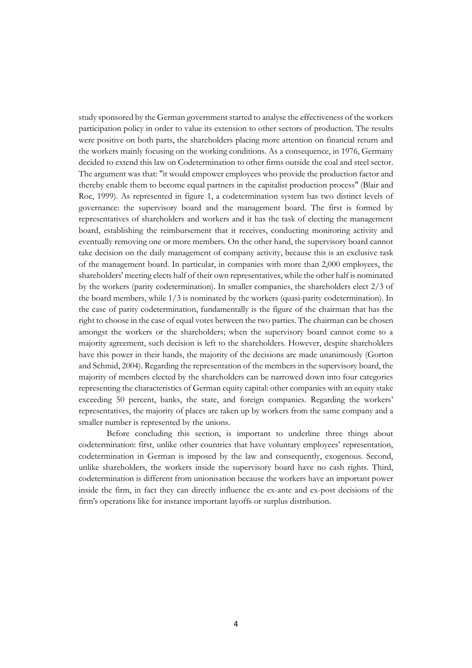study sponsored by the German government started to analyse the effectiveness of the workers participation policy in order to value its extension to other sectors of production. The results were positive on both parts, the shareholders placing more attention on financial return and the workers mainly focusing on the working conditions. As a consequence, in 1976, Germany decided to extend this law on Codetermination to other firms outside the coal and steel sector. The argument was that: "it would empower employees who provide the production factor and thereby enable them to become equal partners in the capitalist production process" (Blair and Roe, 1999). As represented in figure 1, a codetermination system has two distinct levels of governance: the supervisory board and the management board. The first is formed by representatives of shareholders and workers and it has the task of electing the management board, establishing the reimbursement that it receives, conducting monitoring activity and eventually removing one or more members. On the other hand, the supervisory board cannot take decision on the daily management of company activity, because this is an exclusive task of the management board. In particular, in companies with more than 2,000 employees, the shareholders' meeting elects half of their own representatives, while the other half is nominated by the workers (parity codetermination). In smaller companies, the shareholders elect 2/3 of the board members, while 1/3 is nominated by the workers (quasi-parity codetermination). In the case of parity codetermination, fundamentally is the figure of the chairman that has the right to choose in the case of equal votes between the two parties. The chairman can be chosen amongst the workers or the shareholders; when the supervisory board cannot come to a majority agreement, such decision is left to the shareholders. However, despite shareholders have this power in their hands, the majority of the decisions are made unanimously (Gorton and Schmid, 2004). Regarding the representation of the members in the supervisory board, the majority of members elected by the shareholders can be narrowed down into four categories representing the characteristics of German equity capital: other companies with an equity stake exceeding 50 percent, banks, the state, and foreign companies. Regarding the workers' representatives, the majority of places are taken up by workers from the same company and a smaller number is represented by the unions.

 Before concluding this section, is important to underline three things about codetermination: first, unlike other countries that have voluntary employees' representation, codetermination in German is imposed by the law and consequently, exogenous. Second, unlike shareholders, the workers inside the supervisory board have no cash rights. Third, codetermination is different from unionisation because the workers have an important power inside the firm, in fact they can directly influence the ex-ante and ex-post decisions of the firm's operations like for instance important layoffs or surplus distribution.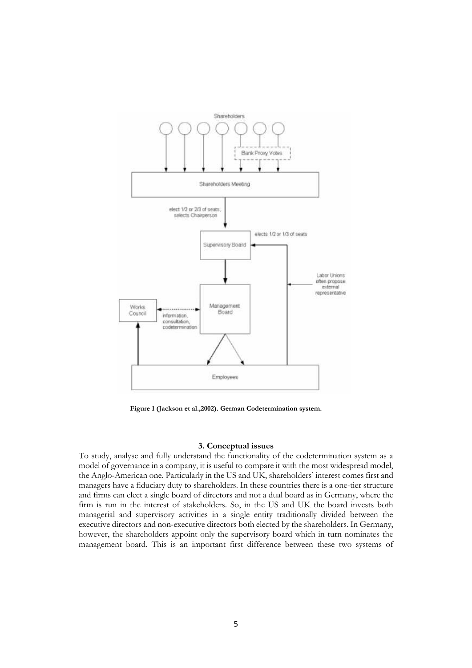

**Figure 1 (Jackson et al.,2002). German Codetermination system.** 

# **3. Conceptual issues**

To study, analyse and fully understand the functionality of the codetermination system as a model of governance in a company, it is useful to compare it with the most widespread model, the Anglo-American one. Particularly in the US and UK, shareholders' interest comes first and managers have a fiduciary duty to shareholders. In these countries there is a one-tier structure and firms can elect a single board of directors and not a dual board as in Germany, where the firm is run in the interest of stakeholders. So, in the US and UK the board invests both managerial and supervisory activities in a single entity traditionally divided between the executive directors and non-executive directors both elected by the shareholders. In Germany, however, the shareholders appoint only the supervisory board which in turn nominates the management board. This is an important first difference between these two systems of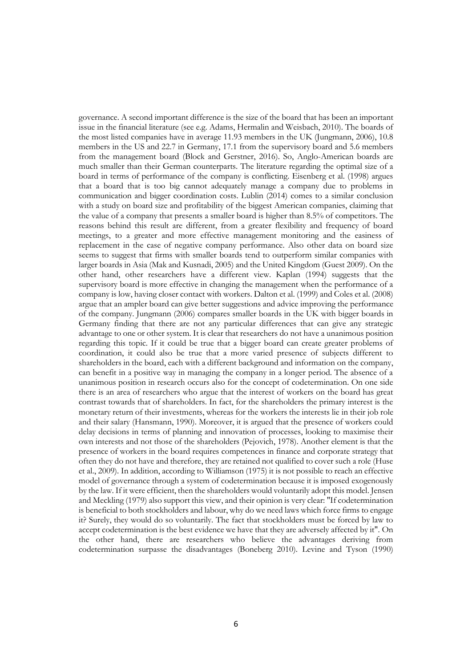governance. A second important difference is the size of the board that has been an important issue in the financial literature (see e.g. Adams, Hermalin and Weisbach, 2010). The boards of the most listed companies have in average 11.93 members in the UK (Jungmann, 2006), 10.8 members in the US and 22.7 in Germany, 17.1 from the supervisory board and 5.6 members from the management board (Block and Gerstner, 2016). So, Anglo-American boards are much smaller than their German counterparts. The literature regarding the optimal size of a board in terms of performance of the company is conflicting. Eisenberg et al. (1998) argues that a board that is too big cannot adequately manage a company due to problems in communication and bigger coordination costs. Lublin (2014) comes to a similar conclusion with a study on board size and profitability of the biggest American companies, claiming that the value of a company that presents a smaller board is higher than 8.5% of competitors. The reasons behind this result are different, from a greater flexibility and frequency of board meetings, to a greater and more effective management monitoring and the easiness of replacement in the case of negative company performance. Also other data on board size seems to suggest that firms with smaller boards tend to outperform similar companies with larger boards in Asia (Mak and Kusnadi, 2005) and the United Kingdom (Guest 2009). On the other hand, other researchers have a different view. Kaplan (1994) suggests that the supervisory board is more effective in changing the management when the performance of a company is low, having closer contact with workers. Dalton et al. (1999) and Coles et al. (2008) argue that an ampler board can give better suggestions and advice improving the performance of the company. Jungmann (2006) compares smaller boards in the UK with bigger boards in Germany finding that there are not any particular differences that can give any strategic advantage to one or other system. It is clear that researchers do not have a unanimous position regarding this topic. If it could be true that a bigger board can create greater problems of coordination, it could also be true that a more varied presence of subjects different to shareholders in the board, each with a different background and information on the company, can benefit in a positive way in managing the company in a longer period. The absence of a unanimous position in research occurs also for the concept of codetermination. On one side there is an area of researchers who argue that the interest of workers on the board has great contrast towards that of shareholders. In fact, for the shareholders the primary interest is the monetary return of their investments, whereas for the workers the interests lie in their job role and their salary (Hansmann, 1990). Moreover, it is argued that the presence of workers could delay decisions in terms of planning and innovation of processes, looking to maximise their own interests and not those of the shareholders (Pejovich, 1978). Another element is that the presence of workers in the board requires competences in finance and corporate strategy that often they do not have and therefore, they are retained not qualified to cover such a role (Huse et al., 2009). In addition, according to Williamson (1975) it is not possible to reach an effective model of governance through a system of codetermination because it is imposed exogenously by the law. If it were efficient, then the shareholders would voluntarily adopt this model. Jensen and Meckling (1979) also support this view, and their opinion is very clear: "If codetermination is beneficial to both stockholders and labour, why do we need laws which force firms to engage it? Surely, they would do so voluntarily. The fact that stockholders must be forced by law to accept codetermination is the best evidence we have that they are adversely affected by it". On the other hand, there are researchers who believe the advantages deriving from codetermination surpasse the disadvantages (Boneberg 2010). Levine and Tyson (1990)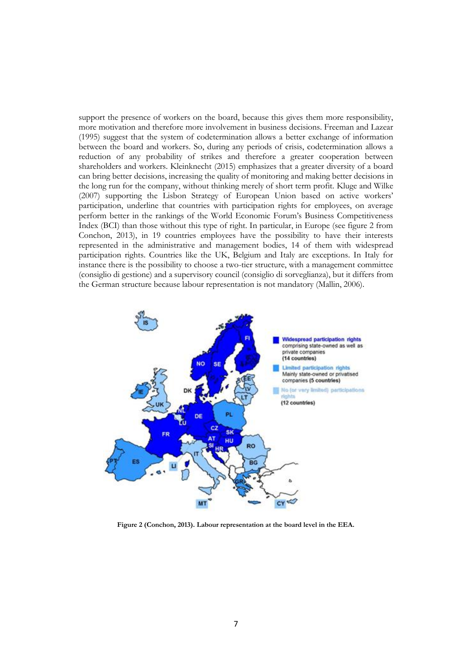support the presence of workers on the board, because this gives them more responsibility, more motivation and therefore more involvement in business decisions. Freeman and Lazear (1995) suggest that the system of codetermination allows a better exchange of information between the board and workers. So, during any periods of crisis, codetermination allows a reduction of any probability of strikes and therefore a greater cooperation between shareholders and workers. Kleinknecht (2015) emphasizes that a greater diversity of a board can bring better decisions, increasing the quality of monitoring and making better decisions in the long run for the company, without thinking merely of short term profit. Kluge and Wilke (2007) supporting the Lisbon Strategy of European Union based on active workers' participation, underline that countries with participation rights for employees, on average perform better in the rankings of the World Economic Forum's Business Competitiveness Index (BCI) than those without this type of right. In particular, in Europe (see figure 2 from Conchon, 2013), in 19 countries employees have the possibility to have their interests represented in the administrative and management bodies, 14 of them with widespread participation rights. Countries like the UK, Belgium and Italy are exceptions. In Italy for instance there is the possibility to choose a two-tier structure, with a management committee (consiglio di gestione) and a supervisory council (consiglio di sorveglianza), but it differs from the German structure because labour representation is not mandatory (Mallin, 2006).



**Figure 2 (Conchon, 2013). Labour representation at the board level in the EEA.**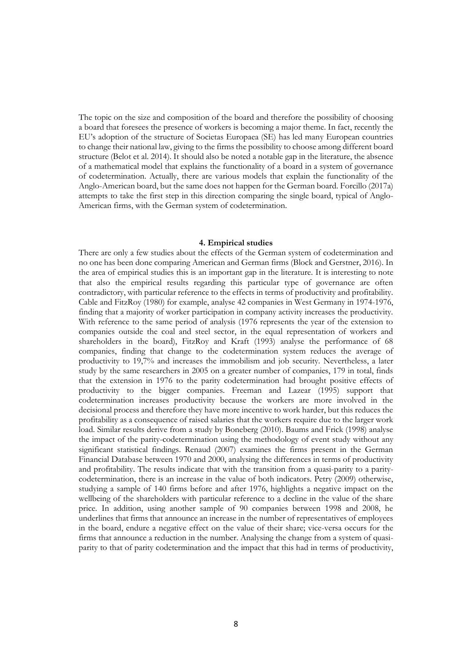The topic on the size and composition of the board and therefore the possibility of choosing a board that foresees the presence of workers is becoming a major theme. In fact, recently the EU's adoption of the structure of Societas Europaea (SE) has led many European countries to change their national law, giving to the firms the possibility to choose among different board structure (Belot et al. 2014). It should also be noted a notable gap in the literature, the absence of a mathematical model that explains the functionality of a board in a system of governance of codetermination. Actually, there are various models that explain the functionality of the Anglo-American board, but the same does not happen for the German board. Forcillo (2017a) attempts to take the first step in this direction comparing the single board, typical of Anglo-American firms, with the German system of codetermination.

## **4. Empirical studies**

There are only a few studies about the effects of the German system of codetermination and no one has been done comparing American and German firms (Block and Gerstner, 2016). In the area of empirical studies this is an important gap in the literature. It is interesting to note that also the empirical results regarding this particular type of governance are often contradictory, with particular reference to the effects in terms of productivity and profitability. Cable and FitzRoy (1980) for example, analyse 42 companies in West Germany in 1974-1976, finding that a majority of worker participation in company activity increases the productivity. With reference to the same period of analysis (1976 represents the year of the extension to companies outside the coal and steel sector, in the equal representation of workers and shareholders in the board), FitzRoy and Kraft (1993) analyse the performance of 68 companies, finding that change to the codetermination system reduces the average of productivity to 19,7% and increases the immobilism and job security. Nevertheless, a later study by the same researchers in 2005 on a greater number of companies, 179 in total, finds that the extension in 1976 to the parity codetermination had brought positive effects of productivity to the bigger companies. Freeman and Lazear (1995) support that codetermination increases productivity because the workers are more involved in the decisional process and therefore they have more incentive to work harder, but this reduces the profitability as a consequence of raised salaries that the workers require due to the larger work load. Similar results derive from a study by Boneberg (2010). Baums and Frick (1998) analyse the impact of the parity-codetermination using the methodology of event study without any significant statistical findings. Renaud (2007) examines the firms present in the German Financial Database between 1970 and 2000, analysing the differences in terms of productivity and profitability. The results indicate that with the transition from a quasi-parity to a paritycodetermination, there is an increase in the value of both indicators. Petry (2009) otherwise, studying a sample of 140 firms before and after 1976, highlights a negative impact on the wellbeing of the shareholders with particular reference to a decline in the value of the share price. In addition, using another sample of 90 companies between 1998 and 2008, he underlines that firms that announce an increase in the number of representatives of employees in the board, endure a negative effect on the value of their share; vice-versa occurs for the firms that announce a reduction in the number. Analysing the change from a system of quasiparity to that of parity codetermination and the impact that this had in terms of productivity,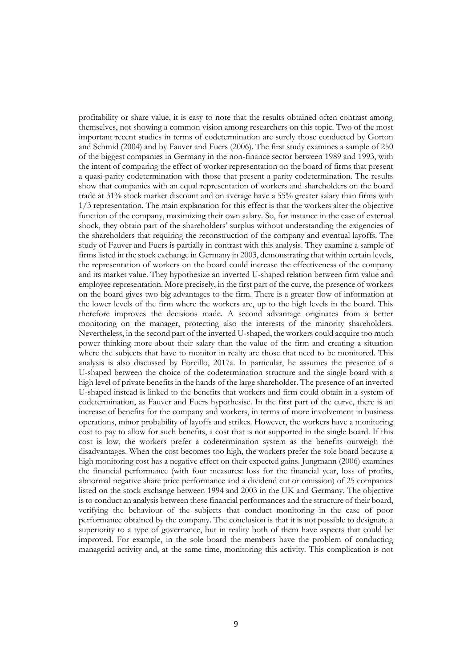profitability or share value, it is easy to note that the results obtained often contrast among themselves, not showing a common vision among researchers on this topic. Two of the most important recent studies in terms of codetermination are surely those conducted by Gorton and Schmid (2004) and by Fauver and Fuers (2006). The first study examines a sample of 250 of the biggest companies in Germany in the non-finance sector between 1989 and 1993, with the intent of comparing the effect of worker representation on the board of firms that present a quasi-parity codetermination with those that present a parity codetermination. The results show that companies with an equal representation of workers and shareholders on the board trade at 31% stock market discount and on average have a 55% greater salary than firms with 1/3 representation. The main explanation for this effect is that the workers alter the objective function of the company, maximizing their own salary. So, for instance in the case of external shock, they obtain part of the shareholders' surplus without understanding the exigencies of the shareholders that requiring the reconstruction of the company and eventual layoffs. The study of Fauver and Fuers is partially in contrast with this analysis. They examine a sample of firms listed in the stock exchange in Germany in 2003, demonstrating that within certain levels, the representation of workers on the board could increase the effectiveness of the company and its market value. They hypothesize an inverted U-shaped relation between firm value and employee representation. More precisely, in the first part of the curve, the presence of workers on the board gives two big advantages to the firm. There is a greater flow of information at the lower levels of the firm where the workers are, up to the high levels in the board. This therefore improves the decisions made. A second advantage originates from a better monitoring on the manager, protecting also the interests of the minority shareholders. Nevertheless, in the second part of the inverted U-shaped, the workers could acquire too much power thinking more about their salary than the value of the firm and creating a situation where the subjects that have to monitor in realty are those that need to be monitored. This analysis is also discussed by Forcillo, 2017a. In particular, he assumes the presence of a U-shaped between the choice of the codetermination structure and the single board with a high level of private benefits in the hands of the large shareholder. The presence of an inverted U-shaped instead is linked to the benefits that workers and firm could obtain in a system of codetermination, as Fauver and Fuers hypothesise. In the first part of the curve, there is an increase of benefits for the company and workers, in terms of more involvement in business operations, minor probability of layoffs and strikes. However, the workers have a monitoring cost to pay to allow for such benefits, a cost that is not supported in the single board. If this cost is low, the workers prefer a codetermination system as the benefits outweigh the disadvantages. When the cost becomes too high, the workers prefer the sole board because a high monitoring cost has a negative effect on their expected gains. Jungmann (2006) examines the financial performance (with four measures: loss for the financial year, loss of profits, abnormal negative share price performance and a dividend cut or omission) of 25 companies listed on the stock exchange between 1994 and 2003 in the UK and Germany. The objective is to conduct an analysis between these financial performances and the structure of their board, verifying the behaviour of the subjects that conduct monitoring in the case of poor performance obtained by the company. The conclusion is that it is not possible to designate a superiority to a type of governance, but in reality both of them have aspects that could be improved. For example, in the sole board the members have the problem of conducting managerial activity and, at the same time, monitoring this activity. This complication is not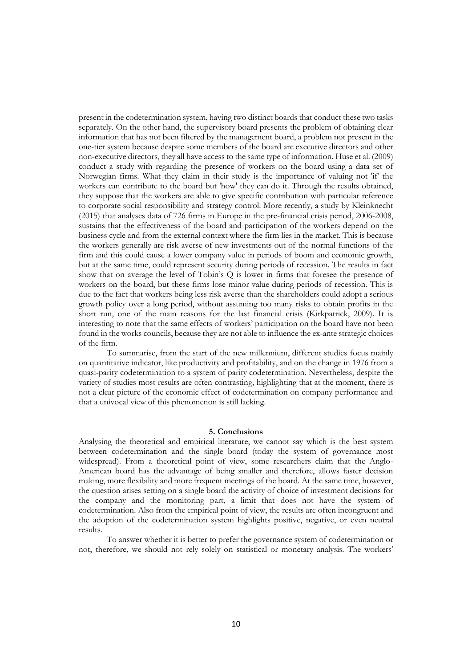present in the codetermination system, having two distinct boards that conduct these two tasks separately. On the other hand, the supervisory board presents the problem of obtaining clear information that has not been filtered by the management board, a problem not present in the one-tier system because despite some members of the board are executive directors and other non-executive directors, they all have access to the same type of information. Huse et al. (2009) conduct a study with regarding the presence of workers on the board using a data set of Norwegian firms. What they claim in their study is the importance of valuing not 'if' the workers can contribute to the board but 'how' they can do it. Through the results obtained, they suppose that the workers are able to give specific contribution with particular reference to corporate social responsibility and strategy control. More recently, a study by Kleinknecht (2015) that analyses data of 726 firms in Europe in the pre-financial crisis period, 2006-2008, sustains that the effectiveness of the board and participation of the workers depend on the business cycle and from the external context where the firm lies in the market. This is because the workers generally are risk averse of new investments out of the normal functions of the firm and this could cause a lower company value in periods of boom and economic growth, but at the same time, could represent security during periods of recession. The results in fact show that on average the level of Tobin's Q is lower in firms that foresee the presence of workers on the board, but these firms lose minor value during periods of recession. This is due to the fact that workers being less risk averse than the shareholders could adopt a serious growth policy over a long period, without assuming too many risks to obtain profits in the short run, one of the main reasons for the last financial crisis (Kirkpatrick, 2009). It is interesting to note that the same effects of workers' participation on the board have not been found in the works councils, because they are not able to influence the ex-ante strategic choices of the firm.

 To summarise, from the start of the new millennium, different studies focus mainly on quantitative indicator, like productivity and profitability, and on the change in 1976 from a quasi-parity codetermination to a system of parity codetermination. Nevertheless, despite the variety of studies most results are often contrasting, highlighting that at the moment, there is not a clear picture of the economic effect of codetermination on company performance and that a univocal view of this phenomenon is still lacking.

# **5. Conclusions**

Analysing the theoretical and empirical literature, we cannot say which is the best system between codetermination and the single board (today the system of governance most widespread). From a theoretical point of view, some researchers claim that the Anglo-American board has the advantage of being smaller and therefore, allows faster decision making, more flexibility and more frequent meetings of the board. At the same time, however, the question arises setting on a single board the activity of choice of investment decisions for the company and the monitoring part, a limit that does not have the system of codetermination. Also from the empirical point of view, the results are often incongruent and the adoption of the codetermination system highlights positive, negative, or even neutral results.

 To answer whether it is better to prefer the governance system of codetermination or not, therefore, we should not rely solely on statistical or monetary analysis. The workers'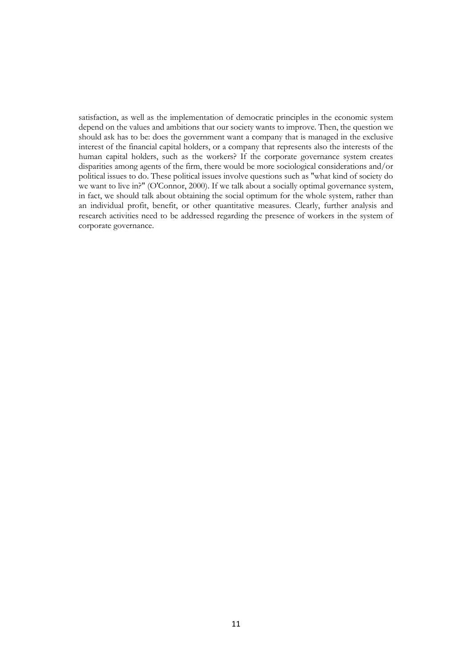satisfaction, as well as the implementation of democratic principles in the economic system depend on the values and ambitions that our society wants to improve. Then, the question we should ask has to be: does the government want a company that is managed in the exclusive interest of the financial capital holders, or a company that represents also the interests of the human capital holders, such as the workers? If the corporate governance system creates disparities among agents of the firm, there would be more sociological considerations and/or political issues to do. These political issues involve questions such as "what kind of society do we want to live in?" (O'Connor, 2000). If we talk about a socially optimal governance system, in fact, we should talk about obtaining the social optimum for the whole system, rather than an individual profit, benefit, or other quantitative measures. Clearly, further analysis and research activities need to be addressed regarding the presence of workers in the system of corporate governance.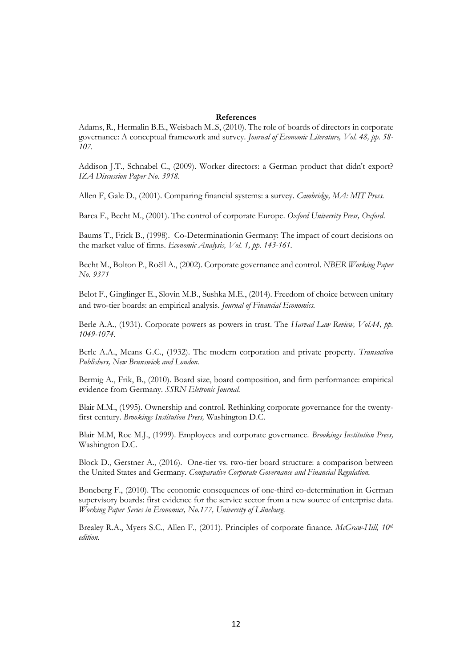#### **References**

Adams, R., Hermalin B.E., Weisbach M..S, (2010). The role of boards of directors in corporate governance: A conceptual framework and survey. *Journal of Economic Literature, Vol. 48, pp. 58- 107.*

Addison J.T., Schnabel C., (2009). Worker directors: a German product that didn't export? *IZA Discussion Paper No. 3918.* 

Allen F, Gale D., (2001). Comparing financial systems: a survey. *Cambridge, MA: MIT Press.* 

Barca F., Becht M., (2001). The control of corporate Europe. *Oxford University Press, Oxford*.

Baums T., Frick B., (1998). Co-Determinationin Germany: The impact of court decisions on the market value of firms. *Economic Analysis, Vol. 1, pp. 143-161.*

Becht M., Bolton P., Roëll A., (2002). Corporate governance and control. *NBER Working Paper No. 9371* 

Belot F., Ginglinger E., Slovin M.B., Sushka M.E., (2014). Freedom of choice between unitary and two-tier boards: an empirical analysis. *Journal of Financial Economics.* 

Berle A.A., (1931). Corporate powers as powers in trust. The *Harvad Law Review, Vol.44, pp. 1049-1074.*

Berle A.A., Means G.C., (1932). The modern corporation and private property. *Transaction Publishers, New Brunswick and London.* 

Bermig A., Frik, B., (2010). Board size, board composition, and firm performance: empirical evidence from Germany. *SSRN Eletronic Journal.* 

Blair M.M., (1995). Ownership and control. Rethinking corporate governance for the twentyfirst century. *Brookings Institution Press,* Washington D.C.

Blair M.M, Roe M.J., (1999). Employees and corporate governance. *Brookings Institution Press,*  Washington D.C.

Block D., Gerstner A., (2016). One-tier vs. two-tier board structure: a comparison between the United States and Germany. *Comparative Corporate Governance and Financial Regulation.* 

Boneberg F., (2010). The economic consequences of one-third co-determination in German supervisory boards: first evidence for the service sector from a new source of enterprise data. *Working Paper Series in Economics, No.177, University of Lüneburg.* 

Brealey R.A., Myers S.C., Allen F., (2011). Principles of corporate finance. *McGraw-Hill, 10th edition.*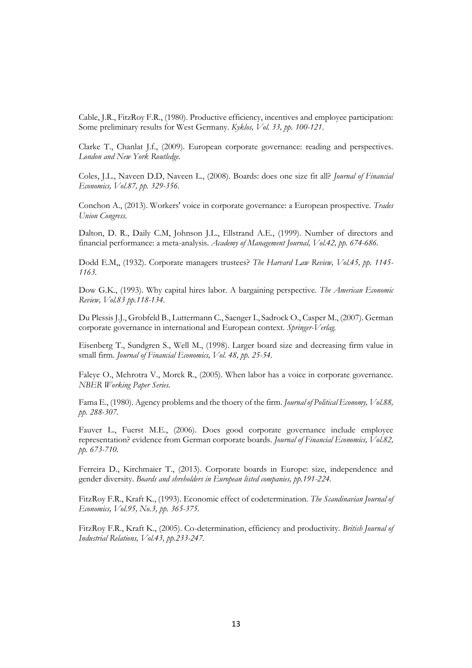Cable, J.R., FitzRoy F.R., (1980). Productive efficiency, incentives and employee participation: Some preliminary results for West Germany. *Kyklos, Vol. 33, pp. 100-121*.

Clarke T., Chanlat J.f., (2009). European corporate governance: reading and perspectives. *London and New York Routledge.* 

Coles, J.L., Naveen D.D, Naveen L., (2008). Boards: does one size fit all? *Journal of Financial Economics, Vol.87, pp. 329-356.*

Conchon A., (2013). Workers' voice in corporate governance: a European prospective. *Trades Union Congress*.

Dalton, D. R., Daily C.M, Johnson J.L., Ellstrand A.E., (1999). Number of directors and financial performance: a meta-analysis. *Academy of Management Journal, Vol.42, pp. 674-686.*

Dodd E.M,, (1932). Corporate managers trustees? *The Harvard Law Review, Vol.45, pp. 1145- 1163.*

Dow G.K., (1993). Why capital hires labor. A bargaining perspective*. The American Economic Review, Vol.83 pp.118-134.*

Du Plessis J.J., Grobfeld B., Luttermann C., Saenger I., Sadrock O., Casper M., (2007). German corporate governance in international and European context. *Springer-Verlag.* 

Eisenberg T., Sundgren S., Well M., (1998). Larger board size and decreasing firm value in small firm. *Journal of Financial Economics, Vol. 48, pp. 25-54.*

Faleye O., Mehrotra V., Morck R., (2005). When labor has a voice in corporate governance. *NBER Working Paper Series.*

Fama E., (1980). Agency problems and the thoery of the firm. *Journal of Political Economy, Vol.88, pp. 288-307.*

Fauver L., Fuerst M.E., (2006). Does good corporate governance include employee representation? evidence from German corporate boards. *Journal of Financial Economics, Vol.82, pp. 673-710.*

Ferreira D., Kirchmaier T., (2013). Corporate boards in Europe: size, independence and gender diversity. *Boards and shreholders in European listed companies, pp.191-224.*

FitzRoy F.R., Kraft K., (1993). Economic effect of codetermination. *The Scandinavian Journal of Economics, Vol.95, No.3, pp. 365-375.*

FitzRoy F.R., Kraft K., (2005). Co-determination, efficiency and productivity. *British Journal of Industrial Relations, Vol.43, pp.233-247.*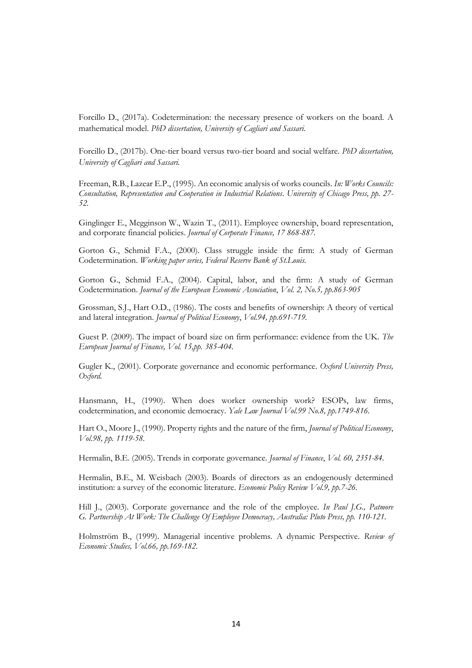Forcillo D., (2017a). Codetermination: the necessary presence of workers on the board. A mathematical model. *PhD dissertation, University of Cagliari and Sassari.* 

Forcillo D., (2017b). One-tier board versus two-tier board and social welfare. *PhD dissertation, University of Cagliari and Sassari.* 

Freeman, R.B., Lazear E.P., (1995). An economic analysis of works councils. *In: Works Councils: Consultation, Representation and Cooperation in Industrial Relations*. *University of Chicago Press, pp. 27- 52.*

Ginglinger E., Megginson W., Wazin T., (2011). Employee ownership, board representation, and corporate financial policies. *Journal of Corporate Finance, 17 868-887.*

Gorton G., Schmid F.A., (2000). Class struggle inside the firm: A study of German Codetermination. *Working paper series, Federal Reserve Bank of St.Louis.* 

Gorton G., Schmid F.A., (2004). Capital, labor, and the firm: A study of German Codetermination. *Journal of the European Economic Association*, *Vol. 2, No.5, pp.863-905*

Grossman, S.J., Hart O.D., (1986). The costs and benefits of ownership: A theory of vertical and lateral integration. *Journal of Political Economy*, *Vol.94, pp.691-719.*

Guest P. (2009). The impact of board size on firm performance: evidence from the UK. *The European Journal of Finance, Vol. 15,pp. 385-404.*

Gugler K., (2001). Corporate governance and economic performance. *Oxford University Press, Oxford.*

Hansmann, H., (1990). When does worker ownership work? ESOPs, law firms, codetermination, and economic democracy. *Yale Law Journal Vol.99 No.8, pp.1749-816.* 

Hart O., Moore J., (1990). Property rights and the nature of the firm, *Journal of Political Economy*, *Vol.98, pp. 1119-58*.

Hermalin, B.E. (2005). Trends in corporate governance. *Journal of Finance*, *Vol. 60, 2351-84.*

Hermalin, B.E., M. Weisbach (2003). Boards of directors as an endogenously determined institution: a survey of the economic literature. *Economic Policy Review Vol.9, pp.7-26.*

Hill J., (2003). Corporate governance and the role of the employee. *In Paul J.G., Patmore G. Partnership At Work: The Challenge Of Employee Democracy, Australia: Pluto Press, pp. 110-121.* 

Holmström B., (1999). Managerial incentive problems. A dynamic Perspective. *Review of Economic Studies, Vol.66, pp.169-182.*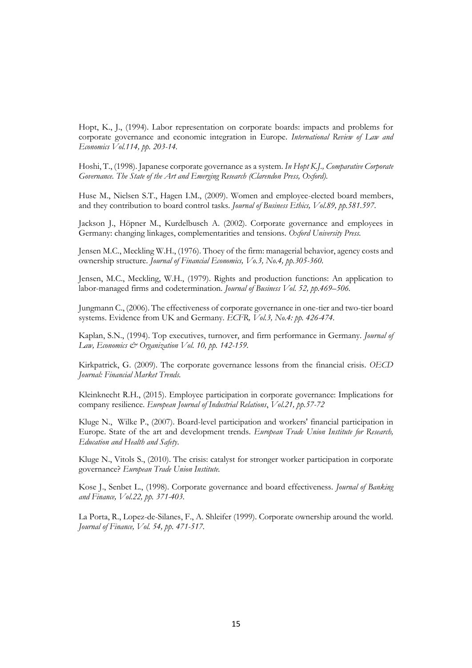Hopt, K., J., (1994). Labor representation on corporate boards: impacts and problems for corporate governance and economic integration in Europe. *International Review of Law and Economics Vol.114, pp. 203-14.* 

Hoshi, T., (1998). Japanese corporate governance as a system. *In Hopt K.J., Comparative Corporate Governance. The State of the Art and Emerging Research (Clarendon Press, Oxford).*

Huse M., Nielsen S.T., Hagen I.M., (2009). Women and employee-elected board members, and they contribution to board control tasks. *Journal of Business Ethics, Vol.89, pp.581.597*.

Jackson J., Höpner M., Kurdelbusch A. (2002). Corporate governance and employees in Germany: changing linkages, complementarities and tensions. *Oxford University Press.* 

Jensen M.C., Meckling W.H., (1976). Thoey of the firm: managerial behavior, agency costs and ownership structure. *Journal of Financial Economics, Vo.3, No.4, pp.305-360.* 

Jensen, M.C., Meckling, W.H., (1979). Rights and production functions: An application to labor-managed firms and codetermination. *Journal of Business Vol. 52, pp.469–506.*

Jungmann C., (2006). The effectiveness of corporate governance in one-tier and two-tier board systems. Evidence from UK and Germany. *ECFR, Vol.3, No.4: pp. 426-474.*

Kaplan, S.N., (1994). Top executives, turnover, and firm performance in Germany. *Journal of Law, Economics & Organization Vol. 10, pp. 142-159.*

Kirkpatrick, G. (2009). The corporate governance lessons from the financial crisis. *OECD Journal: Financial Market Trends.* 

Kleinknecht R.H., (2015). Employee participation in corporate governance: Implications for company resilience. *European Journal of Industrial Relations*, *Vol.21, pp.57-72*

Kluge N., Wilke P., (2007). Board-level participation and workers' financial participation in Europe. State of the art and development trends. *European Trade Union Institute for Research, Education and Health and Safety*.

Kluge N., Vitols S., (2010). The crisis: catalyst for stronger worker participation in corporate governance? *European Trade Union Institute.* 

Kose J., Senbet L., (1998). Corporate governance and board effectiveness. *Journal of Banking and Finance, Vol.22, pp. 371-403.* 

La Porta, R., Lopez-de-Silanes, F., A. Shleifer (1999). Corporate ownership around the world. *Journal of Finance, Vol. 54, pp. 471-517.*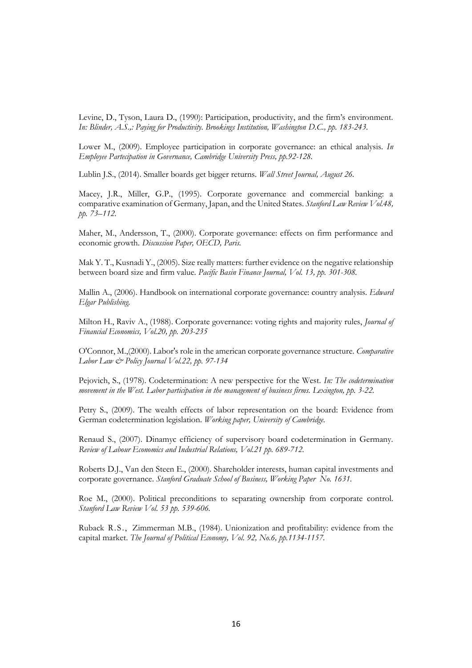Levine, D., Tyson, Laura D., (1990): Participation, productivity, and the firm's environment. *In: Blinder, A.S.,: Paying for Productivity. Brookings Institution, Washington D.C., pp. 183-243.*

Lower M., (2009). Employee participation in corporate governance: an ethical analysis. *In Employee Partecipation in Governance, Cambridge University Press, pp.92-128.*

Lublin J.S., (2014). Smaller boards get bigger returns. *Wall Street Journal, August 26.* 

Macey, J.R., Miller, G.P., (1995). Corporate governance and commercial banking: a comparative examination of Germany, Japan, and the United States. *Stanford Law Review Vol.48, pp. 73–112.*

Maher, M., Andersson, T., (2000). Corporate governance: effects on firm performance and economic growth. *Discussion Paper, OECD, Paris.* 

Mak Y. T., Kusnadi Y., (2005). Size really matters: further evidence on the negative relationship between board size and firm value. *Pacific Basin Finance Journal, Vol. 13, pp. 301-308.*

Mallin A., (2006). Handbook on international corporate governance: country analysis. *Edward Elgar Publishing.*

Milton H., Raviv A., (1988). Corporate governance: voting rights and majority rules, *Journal of Financial Economics, Vol.20, pp. 203-235*

O'Connor, M.,(2000). Labor's role in the american corporate governance structure. *Comparative Labor Law & Policy Journal Vol.22, pp. 97-134*

Pejovich, S., (1978). Codetermination: A new perspective for the West. *In: The codetermination movement in the West. Labor participation in the management of business firms. Lexington, pp. 3-22.*

Petry S., (2009). The wealth effects of labor representation on the board: Evidence from German codetermination legislation. *Working paper, University of Cambridge.* 

Renaud S., (2007). Dinamyc efficiency of supervisory board codetermination in Germany. *Review of Labour Economics and Industrial Relations, Vol.21 pp. 689-712.*

Roberts D.J., Van den Steen E., (2000). Shareholder interests, human capital investments and corporate governance. *Stanford Graduate School of Business, Working Paper No. 1631.*

Roe M., (2000). Political preconditions to separating ownership from corporate control. *Stanford Law Review Vol. 53 pp. 539-606.*

Ruback R.S., Zimmerman M.B., (1984). Unionization and profitability: evidence from the capital market. *The Journal of Political Economy, Vol. 92, No.6, pp.1134-1157.*